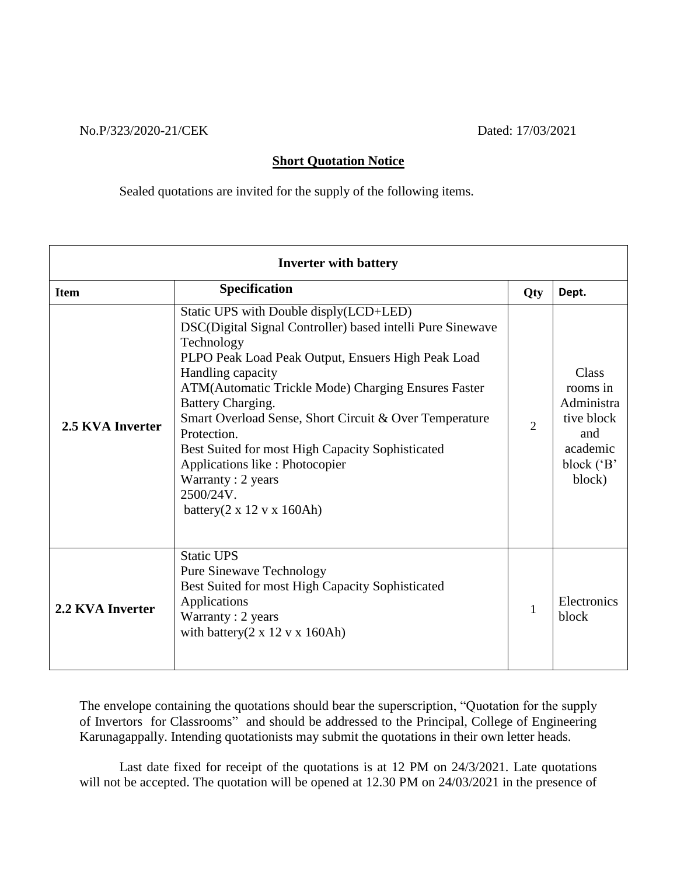No.P/323/2020-21/CEK Dated: 17/03/2021

## **Short Quotation Notice**

Sealed quotations are invited for the supply of the following items.

| <b>Inverter with battery</b> |                                                                                                                                                                                                                                                                                                                                                                                                                                                                                                                                        |                |                                                                                          |
|------------------------------|----------------------------------------------------------------------------------------------------------------------------------------------------------------------------------------------------------------------------------------------------------------------------------------------------------------------------------------------------------------------------------------------------------------------------------------------------------------------------------------------------------------------------------------|----------------|------------------------------------------------------------------------------------------|
| <b>Item</b>                  | <b>Specification</b>                                                                                                                                                                                                                                                                                                                                                                                                                                                                                                                   | Qty            | Dept.                                                                                    |
| 2.5 KVA Inverter             | Static UPS with Double disply(LCD+LED)<br>DSC(Digital Signal Controller) based intelli Pure Sinewave<br>Technology<br>PLPO Peak Load Peak Output, Ensuers High Peak Load<br>Handling capacity<br>ATM (Automatic Trickle Mode) Charging Ensures Faster<br>Battery Charging.<br>Smart Overload Sense, Short Circuit & Over Temperature<br>Protection.<br>Best Suited for most High Capacity Sophisticated<br>Applications like : Photocopier<br>Warranty: 2 years<br>2500/24V.<br>battery $(2 \times 12 \text{ v} \times 160 \text{Ah})$ | $\overline{2}$ | Class<br>rooms in<br>Administra<br>tive block<br>and<br>academic<br>block ('B'<br>block) |
| 2.2 KVA Inverter             | <b>Static UPS</b><br><b>Pure Sinewave Technology</b><br>Best Suited for most High Capacity Sophisticated<br>Applications<br>Warranty: 2 years<br>with battery $(2 \times 12 \text{ v} \times 160 \text{Ah})$                                                                                                                                                                                                                                                                                                                           | $\mathbf{1}$   | Electronics<br>block                                                                     |

The envelope containing the quotations should bear the superscription, "Quotation for the supply of Invertors for Classrooms" and should be addressed to the Principal, College of Engineering Karunagappally. Intending quotationists may submit the quotations in their own letter heads.

Last date fixed for receipt of the quotations is at 12 PM on 24/3/2021. Late quotations will not be accepted. The quotation will be opened at 12.30 PM on 24/03/2021 in the presence of